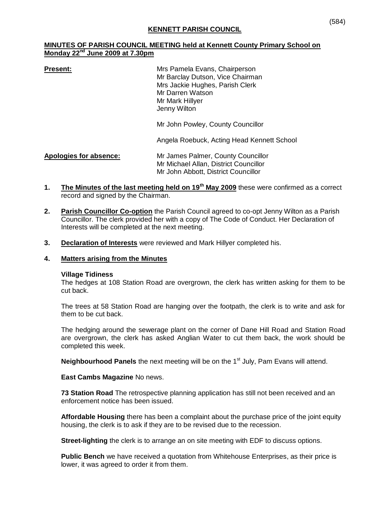# **MINUTES OF PARISH COUNCIL MEETING held at Kennett County Primary School on Monday 22nd June 2009 at 7.30pm**

**Present:** Mrs Pamela Evans, Chairperson Mr Barclay Dutson, Vice Chairman Mrs Jackie Hughes, Parish Clerk Mr Darren Watson Mr Mark Hillyer Jenny Wilton

Mr John Powley, County Councillor

Angela Roebuck, Acting Head Kennett School

**Apologies for absence:** Mr James Palmer, County Councillor Mr Michael Allan, District Councillor Mr John Abbott, District Councillor

- **1. The Minutes of the last meeting held on 19th May 2009** these were confirmed as a correct record and signed by the Chairman.
- **2. Parish Councillor Co-option** the Parish Council agreed to co-opt Jenny Wilton as a Parish Councillor. The clerk provided her with a copy of The Code of Conduct. Her Declaration of Interests will be completed at the next meeting.
- **3. Declaration of Interests** were reviewed and Mark Hillyer completed his.

#### **4. Matters arising from the Minutes**

#### **Village Tidiness**

The hedges at 108 Station Road are overgrown, the clerk has written asking for them to be cut back.

The trees at 58 Station Road are hanging over the footpath, the clerk is to write and ask for them to be cut back.

The hedging around the sewerage plant on the corner of Dane Hill Road and Station Road are overgrown, the clerk has asked Anglian Water to cut them back, the work should be completed this week.

**Neighbourhood Panels** the next meeting will be on the 1<sup>st</sup> July, Pam Evans will attend.

# **East Cambs Magazine** No news.

**73 Station Road** The retrospective planning application has still not been received and an enforcement notice has been issued.

**Affordable Housing** there has been a complaint about the purchase price of the joint equity housing, the clerk is to ask if they are to be revised due to the recession.

**Street-lighting** the clerk is to arrange an on site meeting with EDF to discuss options.

**Public Bench** we have received a quotation from Whitehouse Enterprises, as their price is lower, it was agreed to order it from them.